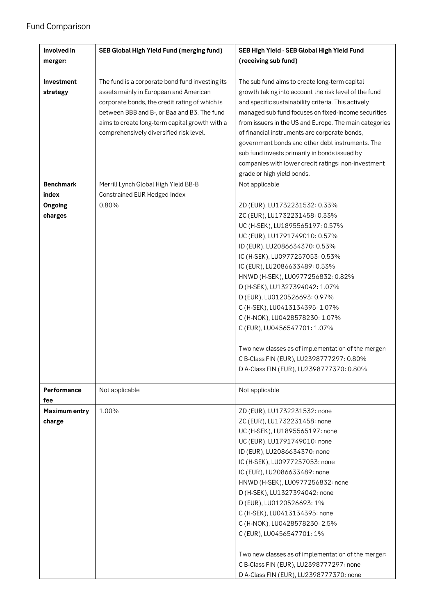## Fund Comparison

| Involved in          | <b>SEB Global High Yield Fund (merging fund)</b> | SEB High Yield - SEB Global High Yield Fund                  |
|----------------------|--------------------------------------------------|--------------------------------------------------------------|
| merger:              |                                                  | (receiving sub fund)                                         |
|                      |                                                  |                                                              |
| Investment           | The fund is a corporate bond fund investing its  | The sub fund aims to create long-term capital                |
| strategy             | assets mainly in European and American           | growth taking into account the risk level of the fund        |
|                      | corporate bonds, the credit rating of which is   | and specific sustainability criteria. This actively          |
|                      | between BBB and B-, or Baa and B3. The fund      | managed sub fund focuses on fixed-income securities          |
|                      | aims to create long-term capital growth with a   | from issuers in the US and Europe. The main categories       |
|                      | comprehensively diversified risk level.          | of financial instruments are corporate bonds,                |
|                      |                                                  | government bonds and other debt instruments. The             |
|                      |                                                  | sub fund invests primarily in bonds issued by                |
|                      |                                                  | companies with lower credit ratings: non-investment          |
|                      |                                                  | grade or high yield bonds.                                   |
| <b>Benchmark</b>     | Merrill Lynch Global High Yield BB-B             | Not applicable                                               |
| index                | Constrained EUR Hedged Index                     |                                                              |
| Ongoing              | 0.80%                                            | ZD (EUR), LU1732231532: 0.33%                                |
| charges              |                                                  | ZC (EUR), LU1732231458: 0.33%                                |
|                      |                                                  | UC (H-SEK), LU1895565197: 0.57%                              |
|                      |                                                  | UC (EUR), LU1791749010: 0.57%                                |
|                      |                                                  | ID (EUR), LU2086634370: 0.53%                                |
|                      |                                                  | IC (H-SEK), LU0977257053: 0.53%                              |
|                      |                                                  | IC (EUR), LU2086633489: 0.53%                                |
|                      |                                                  | HNWD (H-SEK), LU0977256832: 0.82%                            |
|                      |                                                  | D (H-SEK), LU1327394042: 1.07%                               |
|                      |                                                  | D (EUR), LU0120526693: 0.97%                                 |
|                      |                                                  | C (H-SEK), LU0413134395: 1.07%                               |
|                      |                                                  | C (H-NOK), LU0428578230: 1.07%                               |
|                      |                                                  | C (EUR), LU0456547701: 1.07%                                 |
|                      |                                                  | Two new classes as of implementation of the merger:          |
|                      |                                                  | C B-Class FIN (EUR), LU2398777297: 0.80%                     |
|                      |                                                  | D A-Class FIN (EUR), LU2398777370: 0.80%                     |
|                      |                                                  |                                                              |
| Performance          | Not applicable                                   | Not applicable                                               |
| fee                  |                                                  |                                                              |
| <b>Maximum entry</b> | 1.00%                                            | ZD (EUR), LU1732231532: none<br>ZC (EUR), LU1732231458: none |
| charge               |                                                  | UC (H-SEK), LU1895565197: none                               |
|                      |                                                  | UC (EUR), LU1791749010: none                                 |
|                      |                                                  | ID (EUR), LU2086634370: none                                 |
|                      |                                                  | IC (H-SEK), LU0977257053: none                               |
|                      |                                                  | IC (EUR), LU2086633489: none                                 |
|                      |                                                  | HNWD (H-SEK), LU0977256832: none                             |
|                      |                                                  | D (H-SEK), LU1327394042: none                                |
|                      |                                                  | D (EUR), LU0120526693: 1%                                    |
|                      |                                                  | C (H-SEK), LU0413134395: none                                |
|                      |                                                  | C (H-NOK), LU0428578230: 2.5%                                |
|                      |                                                  | C (EUR), LU0456547701: 1%                                    |
|                      |                                                  |                                                              |
|                      |                                                  | Two new classes as of implementation of the merger:          |
|                      |                                                  | C B-Class FIN (EUR), LU2398777297: none                      |
|                      |                                                  | D A-Class FIN (EUR), LU2398777370: none                      |